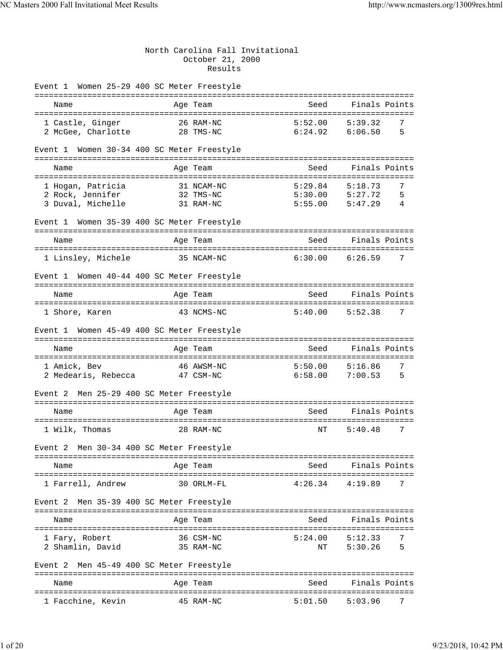## North Carolina Fall Invitational October 21, 2000 Results

| Event 1 Women 25-29 400 SC Meter Freestyle  |                                    |                                          |                              |
|---------------------------------------------|------------------------------------|------------------------------------------|------------------------------|
| Name                                        | Age Team                           | Seed                                     | Finals Points                |
|                                             |                                    |                                          |                              |
| 1 Castle, Ginger<br>2 McGee, Charlotte      | 26 RAM-NC<br>28 TMS-NC             | 5:52.00<br>6:24.92                       | 5:39.32<br>7<br>5<br>6:06.50 |
|                                             |                                    |                                          |                              |
| Event 1                                     | Women 30-34 400 SC Meter Freestyle |                                          |                              |
| Name                                        | Age Team                           | Seed                                     | Finals Points                |
|                                             |                                    |                                          |                              |
| 1 Hogan, Patricia                           | 31 NCAM-NC                         | 5:29.84                                  | 7<br>5:18.73                 |
| 2 Rock, Jennifer                            | 32 TMS-NC                          | $5:30.00$ $5:27.72$                      | 5                            |
| 3 Duval, Michelle                           | 31 RAM-NC                          | $5:55.00$ $5:47.29$                      | 4                            |
| Event 1 Women 35-39 400 SC Meter Freestyle  |                                    |                                          |                              |
| Name                                        | Age Team                           | Seed                                     | Finals Points                |
| 1 Linsley, Michele                          | 35 NCAM-NC                         | 6:30.00                                  | 6:26.59<br>7                 |
| Event 1 Women 40-44 400 SC Meter Freestyle  |                                    |                                          |                              |
| Name                                        |                                    | Seed                                     | Finals Points                |
|                                             | Age Team                           |                                          |                              |
| 1 Shore, Karen                              | 43 NCMS-NC                         | 5:40.00                                  | 5:52.38<br>7                 |
| Event 1 Women 45-49 400 SC Meter Freestyle  |                                    |                                          |                              |
| Name                                        | Age Team                           | Seed                                     | Finals Points                |
|                                             |                                    |                                          |                              |
| 1 Amick, Bev<br>2 Medearis, Rebecca         | 46 AWSM-NC<br>47 CSM-NC            | $5:50.00$ $5:16.86$<br>$6:58.00$ 7:00.53 | 7<br>5                       |
|                                             |                                    |                                          |                              |
| Men 25-29 400 SC Meter Freestyle<br>Event 2 |                                    |                                          |                              |
| Name                                        | Age Team                           | Seed                                     | Finals Points                |
|                                             |                                    |                                          |                              |
| 1 Wilk, Thomas                              | 28 RAM-NC                          | NΤ                                       | 7<br>5:40.48                 |
| Event 2 Men 30-34 400 SC Meter Freestyle    |                                    |                                          |                              |
| Name                                        | Age Team                           | Seed                                     | Finals Points                |
|                                             |                                    |                                          |                              |
| 1 Farrell, Andrew                           | 30 ORLM-FL                         | $4:26.34$ $4:19.89$                      | 7                            |
| Event 2 Men 35-39 400 SC Meter Freestyle    |                                    |                                          |                              |
| Name                                        | Age Team                           | Seed                                     | Finals Points                |
|                                             |                                    |                                          |                              |
| 1 Fary, Robert<br>2 Shamlin, David          | 36 CSM-NC<br>35 RAM-NC             | $5:24.00$ $5:12.33$<br>ΝT                | 7<br>5:30.26<br>5            |
|                                             |                                    |                                          |                              |
| Men 45-49 400 SC Meter Freestyle<br>Event 2 |                                    |                                          |                              |
| Name                                        | Age Team                           | Seed                                     | Finals Points                |
| 1 Facchine, Kevin                           | 45 RAM-NC                          | 5:01.50                                  | 5:03.96<br>7                 |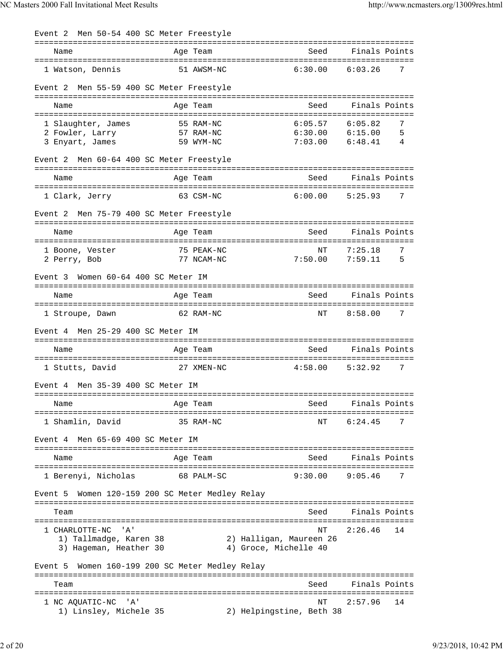| Men 50-54 400 SC Meter Freestyle<br>Event 2        |                                  |                                                  |                                          |
|----------------------------------------------------|----------------------------------|--------------------------------------------------|------------------------------------------|
| Name                                               | Age Team                         | Seed                                             | Finals Points                            |
| 1 Watson, Dennis                                   | 51 AWSM-NC                       | 6:30.00                                          | 6:03.26<br>7                             |
| Event 2                                            | Men 55-59 400 SC Meter Freestyle |                                                  |                                          |
| Name                                               | Age Team                         | Seed                                             | Finals Points                            |
|                                                    |                                  |                                                  |                                          |
| 1 Slaughter, James<br>2 Fowler, Larry              | 55 RAM-NC<br>57 RAM-NC           | 6:05.57                                          | 6:05.82<br>7<br>$6:30.00$ $6:15.00$<br>5 |
| 3 Enyart, James                                    | 59 WYM-NC                        | 7:03.00                                          | 6:48.41<br>4                             |
| Men 60-64 400 SC Meter Freestyle<br>Event 2        |                                  |                                                  |                                          |
| Name                                               | Age Team                         | Seed                                             | Finals Points                            |
| ===================================                |                                  |                                                  |                                          |
| 1 Clark, Jerry                                     | 63 CSM-NC                        | 6:00.00                                          | 5:25.93<br>7                             |
| Men 75-79 400 SC Meter Freestyle<br>Event 2        |                                  |                                                  |                                          |
| Name                                               | Age Team                         | Seed                                             | Finals Points                            |
| 1 Boone, Vester                                    | 75 PEAK-NC                       | NΤ                                               | 7:25.18<br>7                             |
| 2 Perry, Bob                                       | 77 NCAM-NC                       | 7:50.00                                          | 7:59.11<br>5                             |
| Women 60-64 400 SC Meter IM<br>Event 3             |                                  |                                                  |                                          |
| Name                                               | Age Team                         | Seed                                             | Finals Points                            |
|                                                    |                                  |                                                  | 7                                        |
| 1 Stroupe, Dawn                                    | 62 RAM-NC                        | ΝT                                               | 8:58.00                                  |
| Men 25-29 400 SC Meter IM<br>Event 4               |                                  |                                                  |                                          |
| Name                                               | Age Team                         | Seed                                             | Finals Points                            |
| 1 Stutts, David                                    | 27 XMEN-NC                       | 4:58.00                                          | 7<br>5:32.92                             |
| Event 4 Men 35-39 400 SC Meter IM                  |                                  |                                                  |                                          |
| Name                                               | Age Team                         | Seed                                             | Finals Points                            |
| 1 Shamlin, David                                   | 35 RAM-NC                        | NΤ                                               | 6:24.45<br>7                             |
| Event 4 Men 65-69 400 SC Meter IM                  |                                  |                                                  |                                          |
| Name                                               | Age Team                         | Seed                                             | Finals Points                            |
| 1 Berenyi, Nicholas                                | 68 PALM-SC                       | 9:30.00                                          | 9:05.46<br>7                             |
| Event 5 Women 120-159 200 SC Meter Medley Relay    |                                  |                                                  |                                          |
| Team                                               |                                  | Seed                                             | Finals Points                            |
|                                                    |                                  |                                                  |                                          |
| 1 CHARLOTTE-NC<br>' A '                            |                                  | NΤ                                               | 2:26.46<br>14                            |
| 1) Tallmadge, Karen 38<br>3) Hageman, Heather 30   |                                  | 2) Halligan, Maureen 26<br>4) Groce, Michelle 40 |                                          |
| Women 160-199 200 SC Meter Medley Relay<br>Event 5 |                                  |                                                  |                                          |
| Team                                               |                                  | Seed                                             | Finals Points                            |
|                                                    |                                  |                                                  |                                          |
| 1 NC AQUATIC-NC<br>' A '<br>1) Linsley, Michele 35 |                                  | NΤ<br>2) Helpingstine, Beth 38                   | 2:57.96<br>14                            |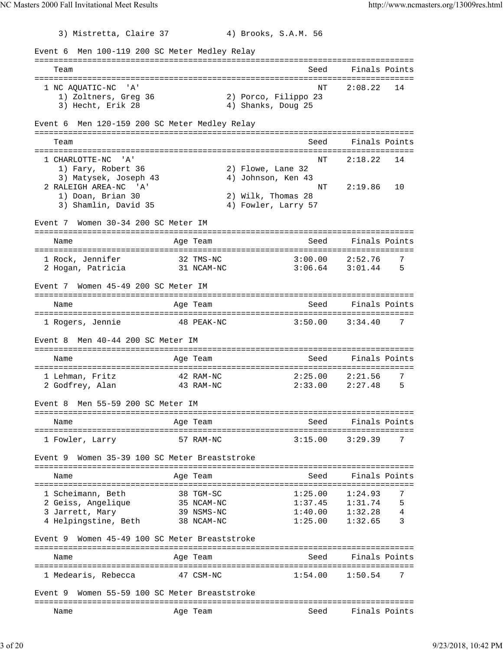3) Mistretta, Claire 37 4) Brooks, S.A.M. 56 Event 6 Men 100-119 200 SC Meter Medley Relay =============================================================================== Team Seed Finals Points =============================================================================== 1 NC AQUATIC-NC 'A'  $\text{NT}$  2:08.22 14<br>1) Zoltners, Greq 36 2) Porco, Filippo 23 1) Zoltners, Greg 36 3) Hecht, Erik 28 4) Shanks, Doug 25 Event 6 Men 120-159 200 SC Meter Medley Relay =============================================================================== Team Seed Finals Points =============================================================================== 1 CHARLOTTE-NC 'A' NT 2:18.22 14 1) Fary, Robert 36 2) Flowe, Lane 32 3) Matysek, Joseph 43 (1998) (1999), 1999, 2008<br>RALEIGH AREA-NC (1998) (2:19.86 (1998) 2 RALEIGH AREA-NC 'A' NT 2:19.86 10 1) Doan, Brian 30 2) Wilk, Thomas 28 3) Shamlin, David 35 4) Fowler, Larry 57 Event 7 Women 30-34 200 SC Meter IM =============================================================================== Name Age Team Seed Finals Points =============================================================================== 1 Rock, Jennifer 32 TMS-NC 3:00.00 2:52.76 7 2 Hogan, Patricia 31 NCAM-NC 3:06.64 3:01.44 5 Event 7 Women 45-49 200 SC Meter IM =============================================================================== Name and Age Team Seed Finals Points =============================================================================== 1 Rogers, Jennie 48 PEAK-NC 3:50.00 3:34.40 7 Event 8 Men 40-44 200 SC Meter IM =============================================================================== Name and Age Team Seed Finals Points =============================================================================== 1 Lehman, Fritz 42 RAM-NC 2:25.00 2:21.56 7 2 Godfrey, Alan 43 RAM-NC 2:33.00 2:27.48 5 Event 8 Men 55-59 200 SC Meter IM =============================================================================== Name **Age Team** Age Team Seed Finals Points =============================================================================== 1 Fowler, Larry 57 RAM-NC 3:15.00 3:29.39 7 Event 9 Women 35-39 100 SC Meter Breaststroke =============================================================================== Name and Age Team Seed Finals Points =============================================================================== 1 Scheimann, Beth 38 TGM-SC 1:25.00 1:24.93 7 2 Geiss, Angelique 35 NCAM-NC 1:37.45 1:31.74 5 3 Jarrett, Mary 39 NSMS-NC 1:40.00 1:32.28 4 4 Helpingstine, Beth 38 NCAM-NC 1:25.00 1:32.65 3 Event 9 Women 45-49 100 SC Meter Breaststroke =============================================================================== Name **Age Team** Age Team Seed Finals Points =============================================================================== 1 Medearis, Rebecca 47 CSM-NC 1:54.00 1:50.54 7 Event 9 Women 55-59 100 SC Meter Breaststroke =============================================================================== Name Team Age Team Seed Finals Points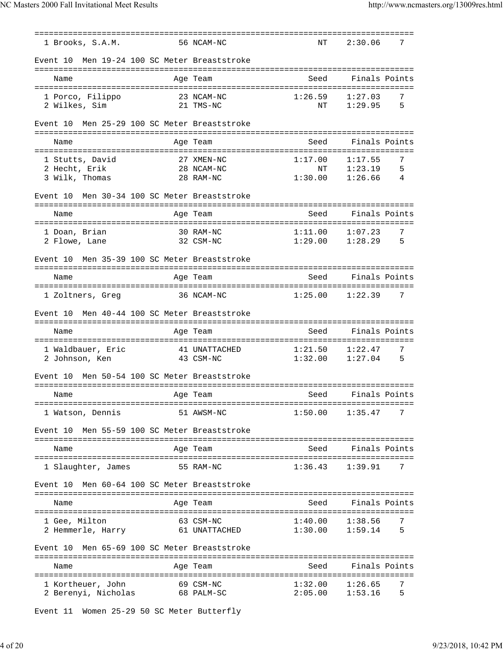| 1 Brooks, S.A.M.                                | 56 NCAM-NC              | NΤ            | 7<br>2:30.06                       |
|-------------------------------------------------|-------------------------|---------------|------------------------------------|
| Men 19-24 100 SC Meter Breaststroke<br>Event 10 |                         |               |                                    |
| Name                                            | Age Team                | Seed          | Finals Points                      |
|                                                 |                         |               |                                    |
| 1 Porco, Filippo<br>2 Wilkes, Sim               | 23 NCAM-NC<br>21 TMS-NC | 1:26.59<br>ΝT | 1:27.03<br>7<br>1:29.95<br>5       |
|                                                 |                         |               |                                    |
| Men 25-29 100 SC Meter Breaststroke<br>Event 10 |                         |               |                                    |
| Name                                            | Age Team                | Seed          | Finals Points                      |
|                                                 |                         |               |                                    |
| 1 Stutts, David                                 | 27 XMEN-NC              | 1:17.00       | 1:17.55<br>7                       |
| 2 Hecht, Erik                                   | 28 NCAM-NC              | NT            | 5<br>1:23.19                       |
| 3 Wilk, Thomas                                  | 28 RAM-NC               | 1:30.00       | 4<br>1:26.66                       |
|                                                 |                         |               |                                    |
| Men 30-34 100 SC Meter Breaststroke<br>Event 10 |                         |               |                                    |
| Name                                            | Age Team                | Seed          | Finals Points                      |
|                                                 |                         |               |                                    |
| 1 Doan, Brian                                   | 30 RAM-NC               | 1:11.00       | 7<br>1:07.23                       |
| 2 Flowe, Lane                                   | 32 CSM-NC               | 1:29.00       | 1:28.29<br>5                       |
|                                                 |                         |               |                                    |
| Men 35-39 100 SC Meter Breaststroke<br>Event 10 |                         |               |                                    |
| -----------------------                         | ========                |               | ================================== |
| Name                                            | Age Team                | Seed          | Finals Points                      |
| =======================<br>=============        |                         |               |                                    |
| 1 Zoltners, Greg                                | 36 NCAM-NC              | 1:25.00       | 7<br>1:22.39                       |
| Men 40-44 100 SC Meter Breaststroke<br>Event 10 |                         |               |                                    |
| Name                                            | Age Team                | Seed          | Finals Points                      |
|                                                 |                         |               |                                    |
| 1 Waldbauer, Eric                               | 41 UNATTACHED           | 1:21.50       | 7<br>1:22.47                       |
| 2 Johnson, Ken                                  | 43 CSM-NC               | 1:32.00       | 1:27.04<br>5                       |
|                                                 |                         |               |                                    |
| Men 50-54 100 SC Meter Breaststroke<br>Event 10 |                         |               |                                    |
|                                                 |                         |               |                                    |
| Name                                            | Age Team                | Seed          | Finals Points                      |
|                                                 |                         |               |                                    |
| 1 Watson, Dennis                                | 51 AWSM-NC              | 1:50.00       | 7<br>1:35.47                       |
|                                                 |                         |               |                                    |
| Men 55-59 100 SC Meter Breaststroke<br>Event 10 |                         |               |                                    |
|                                                 |                         |               |                                    |
| Name                                            | Age Team                | Seed          | Finals Points                      |
|                                                 |                         |               |                                    |
| 1 Slaughter, James                              | 55 RAM-NC               | 1:36.43       | 1:39.91<br>7                       |
| Men 60-64 100 SC Meter Breaststroke<br>Event 10 |                         |               |                                    |
|                                                 |                         |               |                                    |
| Name                                            | Age Team                | Seed          | Finals Points                      |
|                                                 |                         |               |                                    |
| 1 Gee, Milton                                   | 63 CSM-NC               | 1:40.00       | 7<br>1:38.56                       |
| 2 Hemmerle, Harry                               | 61 UNATTACHED           | 1:30.00       | 5<br>1:59.14                       |
|                                                 |                         |               |                                    |
| Men 65-69 100 SC Meter Breaststroke<br>Event 10 |                         |               |                                    |
|                                                 |                         |               |                                    |
| Name                                            | Age Team                | Seed          | Finals Points                      |
| 1 Kortheuer, John                               | 69 CSM-NC               | 1:32.00       | 1:26.65<br>7                       |
| 2 Berenyi, Nicholas                             | 68 PALM-SC              | 2:05.00       | 1:53.16<br>5                       |
|                                                 |                         |               |                                    |

Event 11 Women 25-29 50 SC Meter Butterfly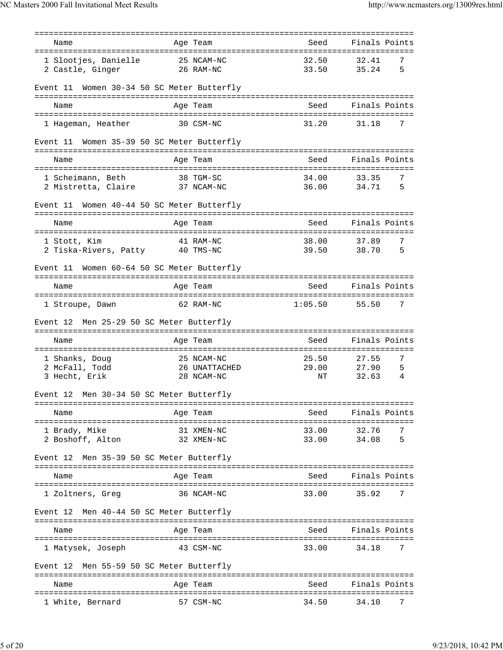|                                                 | =========                         |                                 |                                        |
|-------------------------------------------------|-----------------------------------|---------------------------------|----------------------------------------|
| Name                                            | Age Team                          | Seed                            | Finals Points                          |
| 1 Slootjes, Danielle<br>2 Castle, Ginger        | 25 NCAM-NC<br>26 RAM-NC           | 32.50<br>33.50                  | 32.41<br>7<br>5<br>35.24               |
| Event 11                                        | Women 30-34 50 SC Meter Butterfly |                                 |                                        |
| Name                                            | Age Team                          | Seed                            | Finals Points                          |
| 1 Hageman, Heather                              | 30 CSM-NC                         | 31.20                           | 7<br>31.18                             |
| Event 11 Women 35-39 50 SC Meter Butterfly      |                                   |                                 |                                        |
| Name                                            | Age Team                          | =================<br>Seed       | Finals Points                          |
| 1 Scheimann, Beth                               | 38 TGM-SC                         | 34.00                           | 7<br>33.35                             |
| 2 Mistretta, Claire                             | 37 NCAM-NC                        | 36.00                           | 34.71<br>5                             |
| Event 11                                        | Women 40-44 50 SC Meter Butterfly |                                 |                                        |
| Name                                            | Age Team                          | Seed                            | Finals Points                          |
|                                                 |                                   |                                 |                                        |
| 1 Stott, Kim<br>2 Tiska-Rivers, Patty 40 TMS-NC | 41 RAM-NC                         | 38.00<br>39.50                  | 7<br>37.89<br>38.70<br>5               |
|                                                 |                                   |                                 |                                        |
| Event 11                                        | Women 60-64 50 SC Meter Butterfly |                                 | ====================================== |
| Name                                            | Age Team                          | Seed                            | Finals Points                          |
| 1 Stroupe, Dawn                                 | 62 RAM-NC                         | 1:05.50                         | 55.50<br>7                             |
| Event 12                                        | Men 25-29 50 SC Meter Butterfly   |                                 |                                        |
| Name                                            | Age Team                          | Seed                            | Finals Points                          |
| 1 Shanks, Doug                                  | 25 NCAM-NC                        | 25.50                           | 7<br>27.55                             |
| 2 McFall, Todd                                  | 26 UNATTACHED                     | 29.00                           | 27.90<br>5                             |
| 3 Hecht, Erik                                   | 28 NCAM-NC                        | ΝT                              | 32.63<br>4                             |
| Event 12 Men 30-34 50 SC Meter Butterfly        |                                   |                                 |                                        |
| Name                                            | Age Team                          | Seed                            | Finals Points                          |
| 1 Brady, Mike                                   | 31 XMEN-NC                        | ======================<br>33.00 | --------<br>32.76<br>7                 |
| 2 Boshoff, Alton                                | 32 XMEN-NC                        | 33.00                           | 5<br>34.08                             |
| Event 12                                        | Men 35-39 50 SC Meter Butterfly   |                                 |                                        |
| Name                                            | Age Team                          | Seed                            | Finals Points                          |
| 1 Zoltners, Greg                                | 36 NCAM-NC                        | 33.00                           | 35.92<br>7                             |
| Event 12                                        | Men 40-44 50 SC Meter Butterfly   |                                 |                                        |
| Name                                            | Age Team                          | Seed                            | Finals Points                          |
| 1 Matysek, Joseph                               | 43 CSM-NC                         | 33.00                           | 34.18<br>7                             |
| Event 12                                        | Men 55-59 50 SC Meter Butterfly   |                                 |                                        |
| Name                                            | Age Team                          | Seed                            | Finals Points                          |
| 1 White, Bernard                                | 57 CSM-NC                         | 34.50                           | 34.10<br>7                             |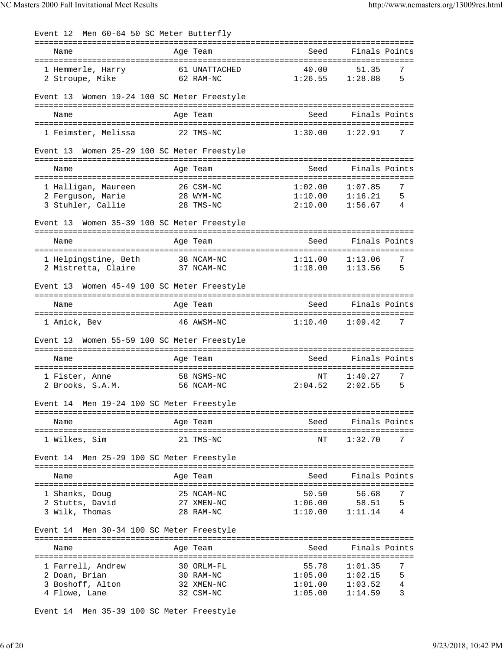| Men 60-64 50 SC Meter Butterfly<br>Event 12                             |                                                    |                                        |                                                                           |
|-------------------------------------------------------------------------|----------------------------------------------------|----------------------------------------|---------------------------------------------------------------------------|
| Name                                                                    | Age Team                                           | Seed                                   | Finals Points                                                             |
| 1 Hemmerle, Harry<br>2 Stroupe, Mike                                    | 40.00<br>61 UNATTACHED<br>62 RAM-NC                | 1:26.55                                | 7<br>51.35<br>5<br>1:28.88                                                |
| Women 19-24 100 SC Meter Freestyle<br>Event 13                          |                                                    |                                        |                                                                           |
| Name                                                                    | Age Team                                           | Seed                                   | Finals Points                                                             |
| 1 Feimster, Melissa                                                     | 22 TMS-NC                                          | 1:30.00                                | 1:22.91<br>7                                                              |
| Women 25-29 100 SC Meter Freestyle<br>Event 13                          |                                                    |                                        |                                                                           |
| Name<br>======================================                          | Age Team                                           | Seed                                   | Finals Points<br>==================================                       |
| 1 Halligan, Maureen<br>2 Ferquson, Marie<br>3 Stuhler, Callie           | 26 CSM-NC<br>28 WYM-NC<br>28 TMS-NC                | 1:02.00<br>1:10.00<br>2:10.00          | 1:07.85<br>7<br>5<br>1:16.21<br>4<br>1:56.67                              |
| Event 13                                                                |                                                    |                                        |                                                                           |
| Women 35-39 100 SC Meter Freestyle                                      |                                                    |                                        |                                                                           |
| Name                                                                    | Age Team                                           | Seed                                   | Finals Points                                                             |
| 1 Helpingstine, Beth<br>2 Mistretta, Claire                             | 38 NCAM-NC<br>37 NCAM-NC                           | 1:11.00<br>1:18.00                     | 7<br>1:13.06<br>1:13.56<br>5                                              |
| Women 45-49 100 SC Meter Freestyle<br>Event 13                          |                                                    |                                        | ======================================                                    |
| Name<br>=====================                                           | Age Team                                           | Seed                                   | Finals Points                                                             |
| 1 Amick, Bev                                                            | 46 AWSM-NC                                         | 1:10.40                                | 7<br>1:09.42                                                              |
| Women 55-59 100 SC Meter Freestyle<br>Event 13                          |                                                    |                                        |                                                                           |
| Name                                                                    | Age Team                                           | Seed                                   | Finals Points                                                             |
| 1 Fister, Anne<br>2 Brooks, S.A.M.                                      | 58 NSMS-NC<br>56 NCAM-NC                           | NΤ<br>2:04.52                          | 7<br>1:40.27<br>2:02.55<br>5                                              |
| Event 14 Men 19-24 100 SC Meter Freestyle                               |                                                    |                                        |                                                                           |
| Name                                                                    | Age Team                                           | Seed                                   | Finals Points                                                             |
| 1 Wilkes, Sim                                                           | 21 TMS-NC                                          | NΤ                                     | 7<br>1:32.70                                                              |
| Event 14 Men 25-29 100 SC Meter Freestyle                               |                                                    |                                        |                                                                           |
| Name                                                                    | Age Team                                           | Seed                                   | Finals Points                                                             |
| 1 Shanks, Doug<br>2 Stutts, David<br>3 Wilk, Thomas                     | 25 NCAM-NC<br>27 XMEN-NC<br>28 RAM-NC              | 50.50<br>1:06.00<br>1:10.00            | 56.68<br>7<br>58.51<br>5<br>1:11.14<br>4                                  |
| Event 14 Men 30-34 100 SC Meter Freestyle                               |                                                    |                                        |                                                                           |
| Name                                                                    | Age Team                                           | Seed                                   | Finals Points                                                             |
| 1 Farrell, Andrew<br>2 Doan, Brian<br>3 Boshoff, Alton<br>4 Flowe, Lane | 30 ORLM-FL<br>30 RAM-NC<br>32 XMEN-NC<br>32 CSM-NC | 55.78<br>1:05.00<br>1:01.00<br>1:05.00 | 1:01.35<br>7<br>5<br>1:02.15<br>$\overline{4}$<br>1:03.52<br>3<br>1:14.59 |

Event 14 Men 35-39 100 SC Meter Freestyle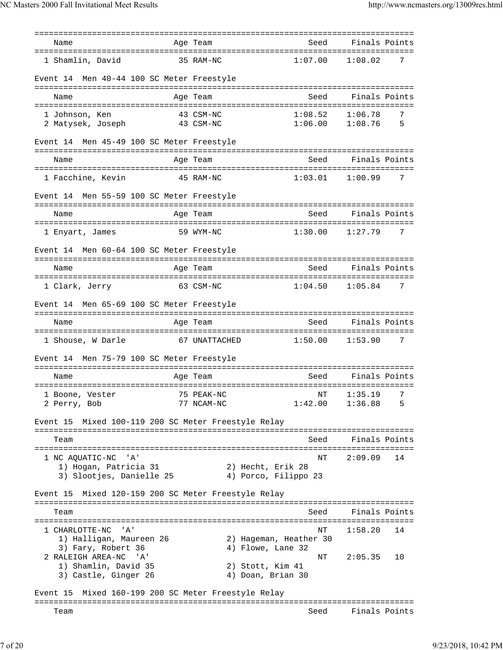| Name                                                                          | Age Team                              | Seed                         | Finals Points                |
|-------------------------------------------------------------------------------|---------------------------------------|------------------------------|------------------------------|
| 1 Shamlin, David                                                              | 35 RAM-NC                             | 1:07.00                      | 1:08.02<br>7                 |
| Event 14 Men 40-44 100 SC Meter Freestyle                                     |                                       |                              |                              |
| Name                                                                          | Age Team                              | Seed                         | Finals Points                |
| 1 Johnson, Ken<br>2 Matysek, Joseph                                           | 43 CSM-NC<br>43 CSM-NC                | 1:08.52<br>1:06.00           | 1:06.78<br>7<br>1:08.76<br>5 |
| Event 14 Men 45-49 100 SC Meter Freestyle                                     |                                       |                              |                              |
| Name                                                                          | Age Team                              | Seed                         | Finals Points                |
| 1 Facchine, Kevin                                                             | 45 RAM-NC                             | 1:03.01                      | 7<br>1:00.99                 |
| Event 14 Men 55-59 100 SC Meter Freestyle                                     |                                       |                              |                              |
| Name                                                                          | Age Team                              | Seed                         | Finals Points                |
| 1 Enyart, James                                                               | 59 WYM-NC                             | 1:30.00                      | 1:27.79<br>7                 |
| Event 14 Men 60-64 100 SC Meter Freestyle                                     |                                       |                              |                              |
| Name                                                                          | Age Team                              | Seed                         | Finals Points                |
| 1 Clark, Jerry                                                                | 63 CSM-NC                             | 1:04.50                      | 1:05.84<br>7                 |
| Event 14 Men 65-69 100 SC Meter Freestyle                                     |                                       |                              |                              |
| Name                                                                          | Age Team                              | Seed                         | Finals Points                |
| 1 Shouse, W Darle                                                             | 67 UNATTACHED                         | 1:50.00                      | 1:53.90<br>7                 |
| Event 14 Men 75-79 100 SC Meter Freestyle                                     |                                       |                              |                              |
| Name                                                                          | Age Team                              | Seed                         | Finals Points                |
| 75 PEAK-NC<br>1 Boone, Vester<br>2 Perry, Bob                                 | 77 NCAM-NC                            | $\mathrm{NT}$<br>1:42.00     | 1:35.19<br>7<br>1:36.88<br>5 |
| Event 15 Mixed 100-119 200 SC Meter Freestyle Relay                           |                                       |                              |                              |
| Team                                                                          |                                       | Seed                         | Finals Points                |
| 1 NC AQUATIC-NC<br>" A '<br>1) Hogan, Patricia 31<br>3) Slootjes, Danielle 25 | 2) Hecht, Erik 28                     | NΤ<br>4) Porco, Filippo 23   | 2:09.09<br>14                |
| Mixed 120-159 200 SC Meter Freestyle Relay<br>Event 15                        |                                       |                              |                              |
| Team                                                                          |                                       | Seed                         | Finals Points                |
| 1 CHARLOTTE-NC<br>' A '<br>1) Halligan, Maureen 26<br>3) Fary, Robert 36      | 4) Flowe, Lane 32                     | NT<br>2) Hageman, Heather 30 | 1:58.20<br>14                |
| 2 RALEIGH AREA-NC 'A'<br>1) Shamlin, David 35<br>3) Castle, Ginger 26         | 2) Stott, Kim 41<br>4) Doan, Brian 30 | NΤ                           | 2:05.35<br>10                |
| Mixed 160-199 200 SC Meter Freestyle Relay<br>Event 15                        |                                       |                              |                              |
| Team                                                                          |                                       | Seed                         | Finals Points                |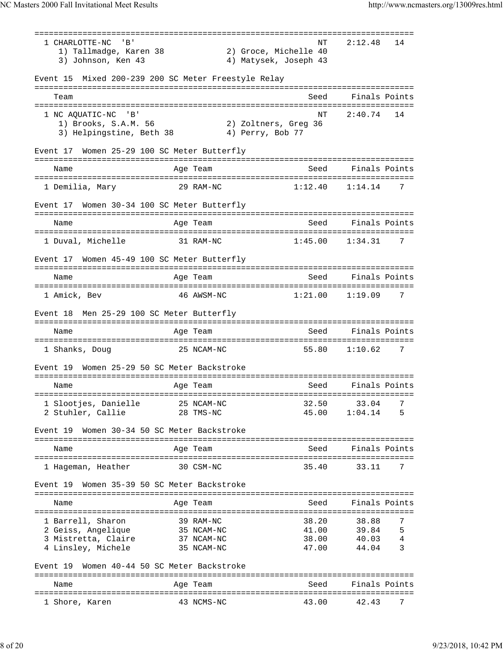=============================================================================== 1 CHARLOTTE-NC 'B' 1) Tallmadge, Karen 38 2) Groce, Michelle 40 3) Johnson, Ken 43 4) Matysek, Joseph 43 Event 15 Mixed 200-239 200 SC Meter Freestyle Relay =============================================================================== Team Seed Finals Points =============================================================================== 1 NC AQUATIC-NC 'B'<br>
1) Brooks, S.A.M. 56 2) Zoltners, Greq 36 1) Brooks, S.A.M. 56 3) Helpingstine, Beth 38 (4) Perry, Bob 77 Event 17 Women 25-29 100 SC Meter Butterfly =============================================================================== Name Age Team Seed Finals Points =============================================================================== 1 Demilia, Mary 29 RAM-NC 1:12.40 1:14.14 7 Event 17 Women 30-34 100 SC Meter Butterfly =============================================================================== Name **Age Team Seed Finals Points** Age Team Seed Finals Points =============================================================================== 1 Duval, Michelle 31 RAM-NC 1:45.00 1:34.31 7 Event 17 Women 45-49 100 SC Meter Butterfly =============================================================================== Name and Age Team Seed Finals Points =============================================================================== 1 Amick, Bev 46 AWSM-NC 1:21.00 1:19.09 7 Event 18 Men 25-29 100 SC Meter Butterfly =============================================================================== Name **Age Team** Age Team Seed Finals Points =============================================================================== 1 Shanks, Doug 25 NCAM-NC 55.80 1:10.62 7 Event 19 Women 25-29 50 SC Meter Backstroke =============================================================================== Name and Age Team Seed Finals Points =============================================================================== 1 Slootjes, Danielle 25 NCAM-NC 2 Stuhler, Callie 28 TMS-NC 45.00 1:04.14 5 Event 19 Women 30-34 50 SC Meter Backstroke =============================================================================== Name **Age Team** Age Team Seed Finals Points =============================================================================== 1 Hageman, Heather 30 CSM-NC 35.40 33.11 7 Event 19 Women 35-39 50 SC Meter Backstroke =============================================================================== Name Age Team Seed Finals Points =============================================================================== 1 Barrell, Sharon 39 RAM-NC 38.20 38.88 7 2 Geiss, Angelique 35 NCAM-NC 41.00 39.84 5 3 Mistretta, Claire 37 NCAM-NC 38.00 40.03 4 4 Linsley, Michele 35 NCAM-NC 47.00 44.04 3 Event 19 Women 40-44 50 SC Meter Backstroke =============================================================================== Name and Age Team Seed Finals Points =============================================================================== 1 Shore, Karen 43 NCMS-NC 43.00 42.43 7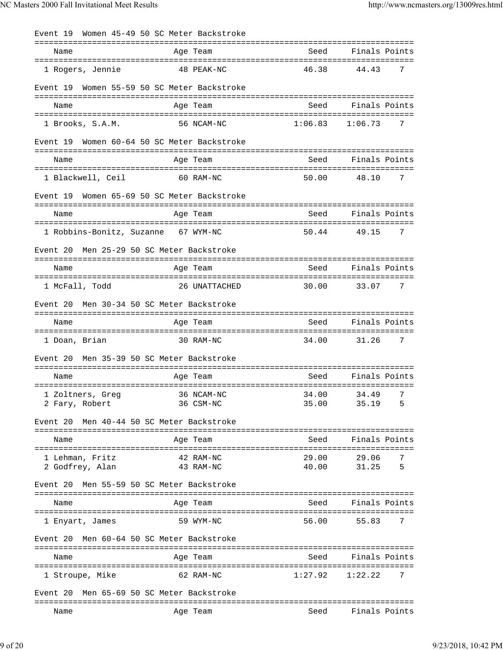| Event 19                           | Women 45-49 50 SC Meter Backstroke        |                     |                                  |
|------------------------------------|-------------------------------------------|---------------------|----------------------------------|
| Name                               | Age Team                                  | Seed                | Finals Points                    |
| 1 Rogers, Jennie                   | 48 PEAK-NC                                | 46.38               | 44.43<br>7                       |
| Event 19                           | Women 55-59 50 SC Meter Backstroke        |                     |                                  |
| Name                               | Age Team                                  | Seed                | Finals Points                    |
| 1 Brooks, S.A.M.                   | 56 NCAM-NC                                | 1:06.83             | 1:06.73<br>7                     |
| Event 19                           | Women 60-64 50 SC Meter Backstroke        |                     |                                  |
| Name                               | Age Team                                  | Seed                | Finals Points                    |
| 1 Blackwell, Ceil                  | 60 RAM-NC                                 | 50.00               | 48.10<br>7                       |
| Event 19                           | Women 65-69 50 SC Meter Backstroke        |                     |                                  |
| Name                               | Age Team                                  | Seed                | Finals Points                    |
|                                    | 1 Robbins-Bonitz, Suzanne 67 WYM-NC       | 50.44               | 49.15<br>7                       |
| Event 20                           | Men 25-29 50 SC Meter Backstroke          |                     |                                  |
| Name                               | Age Team                                  | Seed                | Finals Points                    |
| 1 McFall, Todd                     | 26 UNATTACHED                             | 30.00               | 33.07<br>7                       |
| Event 20                           | Men 30-34 50 SC Meter Backstroke          |                     |                                  |
| Name                               | Age Team                                  | Seed                | Finals Points                    |
| 1 Doan, Brian                      | 30 RAM-NC                                 | 34.00               | 31.26<br>7                       |
| Event 20                           | Men 35-39 50 SC Meter Backstroke          |                     |                                  |
| Name                               | Age Team                                  | Seed                | Finals Points                    |
| 1 Zoltners, Greg<br>2 Fary, Robert | 36 NCAM-NC<br>36 CSM-NC                   | 35.00               | 34.00 34.49<br>- 7<br>5<br>35.19 |
| Event 20                           | Men 40-44 50 SC Meter Backstroke          |                     |                                  |
| Name                               | Age Team                                  | Seed                | Finals Points                    |
| 1 Lehman, Fritz<br>2 Godfrey, Alan | 42 RAM-NC<br>43 RAM-NC                    | 29.00<br>40.00      | 7<br>29.06<br>31.25<br>5         |
| Event 20                           | Men 55-59 50 SC Meter Backstroke          |                     |                                  |
| Name                               | Age Team                                  | Seed                | Finals Points                    |
| 1 Enyart, James                    | 59 WYM-NC                                 | 56.00               | 55.83<br>7                       |
| Event 20                           | Men 60-64 50 SC Meter Backstroke          |                     |                                  |
| Name                               | Age Team                                  |                     | Seed Finals Points               |
| 1 Stroupe, Mike                    | 62 RAM-NC                                 | $1:27.92$ $1:22.22$ | 7                                |
|                                    | Event 20 Men 65-69 50 SC Meter Backstroke |                     |                                  |
| Name                               | Age Team                                  | Seed                | Finals Points                    |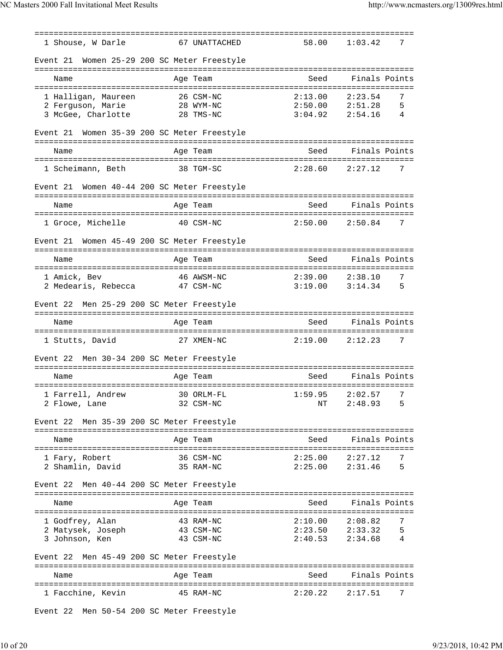| 1 Shouse, W Darle                              | ===============<br>67 UNATTACHED | 58.00               | 7<br>1:03.42                        |
|------------------------------------------------|----------------------------------|---------------------|-------------------------------------|
|                                                |                                  |                     |                                     |
| Women 25-29 200 SC Meter Freestyle<br>Event 21 |                                  |                     |                                     |
| Name                                           | Age Team                         | Seed                | Finals Points                       |
| 1 Halligan, Maureen                            | 26 CSM-NC                        | 2:13.00             | 2:23.54<br>7                        |
| 2 Ferguson, Marie<br>3 McGee, Charlotte        | 28 WYM-NC<br>28 TMS-NC           | $3:04.92$ $2:54.16$ | $2:50.00$ $2:51.28$<br>5<br>4       |
|                                                |                                  |                     |                                     |
| Women 35-39 200 SC Meter Freestyle<br>Event 21 |                                  |                     |                                     |
| Name                                           | Age Team                         | Seed                | Finals Points                       |
| 1 Scheimann, Beth                              | 38 TGM-SC                        | 2:28.60             | 2:27.12<br>7                        |
| Women 40-44 200 SC Meter Freestyle<br>Event 21 |                                  |                     |                                     |
|                                                |                                  |                     |                                     |
| Name                                           | Age Team                         | Seed                | Finals Points                       |
| 1 Groce, Michelle                              | 40 CSM-NC                        | 2:50.00             | 2:50.84<br>7                        |
| Women 45-49 200 SC Meter Freestyle<br>Event 21 |                                  |                     |                                     |
|                                                |                                  | Seed                | Finals Points                       |
| Name                                           | Age Team                         |                     |                                     |
| 1 Amick, Bev<br>2 Medearis, Rebecca            | 46 AWSM-NC<br>47 CSM-NC          | 2:39.00<br>3:19.00  | 2:38.10<br>7<br>3:14.34<br>5        |
|                                                |                                  |                     |                                     |
| Men 25-29 200 SC Meter Freestyle<br>Event 22   |                                  |                     |                                     |
|                                                |                                  |                     |                                     |
| Name                                           | Age Team                         | Seed                | Finals Points                       |
| 1 Stutts, David                                | 27 XMEN-NC                       | 2:19.00             | 7<br>2:12.23                        |
| Men 30-34 200 SC Meter Freestyle<br>Event 22   |                                  |                     |                                     |
|                                                |                                  |                     |                                     |
| Name                                           | Age Team                         | Seed                | Finals Points                       |
| 1 Farrell, Andrew 30 ORLM-FL 1:59.95 2:02.57 7 |                                  |                     |                                     |
| 2 Flowe, Lane                                  | 32 CSM-NC                        | ΝT                  | 2:48.93<br>5                        |
| Event 22 Men 35-39 200 SC Meter Freestyle      |                                  |                     |                                     |
| Name                                           | Age Team                         | Seed                | Finals Points                       |
| 1 Fary, Robert                                 | 36 CSM-NC                        | 2:25.00             | 2:27.12<br>7                        |
| 2 Shamlin, David                               | 35 RAM-NC                        | 2:25.00             | 5<br>2:31.46                        |
| Event 22 Men 40-44 200 SC Meter Freestyle      |                                  |                     |                                     |
| Name                                           | Age Team                         | Seed                | Finals Points                       |
|                                                |                                  |                     |                                     |
| 1 Godfrey, Alan<br>2 Matysek, Joseph           | 43 RAM-NC<br>43 CSM-NC           | 2:10.00             | 2:08.82<br>7<br>5                   |
| 3 Johnson, Ken                                 | 43 CSM-NC                        | 2:40.53             | $2:23.50$ $2:33.32$<br>2:34.68<br>4 |
| Event 22 Men 45-49 200 SC Meter Freestyle      |                                  |                     |                                     |
| Name                                           | Age Team                         | Seed                | Finals Points                       |
| 1 Facchine, Kevin                              | 45 RAM-NC                        | 2:20.22             | 2:17.51<br>7                        |

Event 22 Men 50-54 200 SC Meter Freestyle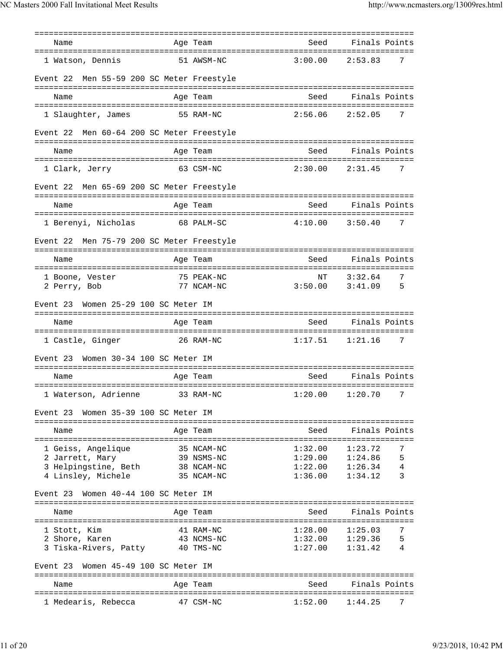| Name                                         | Age Team                      | Seed                                        | Finals Points                           |        |
|----------------------------------------------|-------------------------------|---------------------------------------------|-----------------------------------------|--------|
| 1 Watson, Dennis                             | 51 AWSM-NC                    | 3:00.00                                     | 2:53.83                                 | 7      |
| Men 55-59 200 SC Meter Freestyle<br>Event 22 |                               |                                             |                                         |        |
| Name                                         | Age Team                      | Seed                                        | Finals Points                           |        |
| 1 Slaughter, James                           | 55 RAM-NC                     | 2:56.06                                     | 2:52.05                                 | 7      |
| Men 60-64 200 SC Meter Freestyle<br>Event 22 |                               |                                             |                                         |        |
| Name                                         | Age Team                      | Seed                                        | Finals Points                           |        |
| 1 Clark, Jerry                               | 63 CSM-NC                     | 2:30.00                                     | 2:31.45                                 | 7      |
| Men 65-69 200 SC Meter Freestyle<br>Event 22 |                               |                                             |                                         |        |
| Name                                         | Age Team                      | Seed                                        | Finals Points                           |        |
| 1 Berenyi, Nicholas                          | 68 PALM-SC                    | 4:10.00                                     | 3:50.40                                 | 7      |
| Men 75-79 200 SC Meter Freestyle<br>Event 22 |                               |                                             |                                         |        |
| Name                                         | Age Team                      | Seed                                        | Finals Points<br>-------                |        |
| 1 Boone, Vester                              | 75 PEAK-NC                    | ΝT                                          | 3:32.64                                 | 7      |
| 2 Perry, Bob                                 | 77 NCAM-NC                    | 3:50.00                                     | 3:41.09                                 | 5      |
| Women 25-29 100 SC Meter IM<br>Event 23      |                               |                                             |                                         |        |
| Name                                         | Age Team                      | Seed                                        | Finals Points                           |        |
| 1 Castle, Ginger                             | 26 RAM-NC                     | 1:17.51                                     | 1:21.16                                 | 7      |
| Women 30-34 100 SC Meter IM<br>Event 23      |                               |                                             |                                         |        |
| Name                                         | Age Team                      | Seed                                        | Finals Points                           |        |
| 1 Waterson, Adrienne                         | ================<br>33 RAM-NC | 1:20.00                                     | ============================<br>1:20.70 | 7      |
| Women 35-39 100 SC Meter IM<br>Event 23      |                               |                                             |                                         |        |
| Name                                         | Age Team                      | -----------------------------------<br>Seed | Finals Points                           |        |
| =====================                        |                               |                                             |                                         |        |
| 1 Geiss, Angelique<br>2 Jarrett, Mary        | 35 NCAM-NC<br>39 NSMS-NC      | 1:32.00<br>1:29.00                          | 1:23.72<br>1:24.86                      | 7<br>5 |
| 3 Helpingstine, Beth                         | 38 NCAM-NC                    | 1:22.00                                     | 1:26.34                                 | 4      |
| 4 Linsley, Michele                           | 35 NCAM-NC                    | 1:36.00                                     | 1:34.12                                 | 3      |
| Women 40-44 100 SC Meter IM<br>Event 23      |                               |                                             |                                         |        |
| Name                                         | Age Team                      | Seed                                        | Finals Points                           |        |
|                                              |                               | :=======================                    | =================                       |        |
| 1 Stott, Kim                                 | 41 RAM-NC                     | 1:28.00                                     | 1:25.03                                 | 7      |
| 2 Shore, Karen                               | 43 NCMS-NC                    | 1:32.00                                     | 1:29.36                                 | 5      |
| 3 Tiska-Rivers, Patty                        | 40 TMS-NC                     | 1:27.00                                     | 1:31.42                                 | 4      |
| Women 45-49 100 SC Meter IM<br>Event 23      |                               |                                             |                                         |        |
| Name                                         | Age Team                      | Seed                                        | Finals Points                           |        |
| 1 Medearis, Rebecca                          | 47 CSM-NC                     | 1:52.00                                     | 1:44.25                                 |        |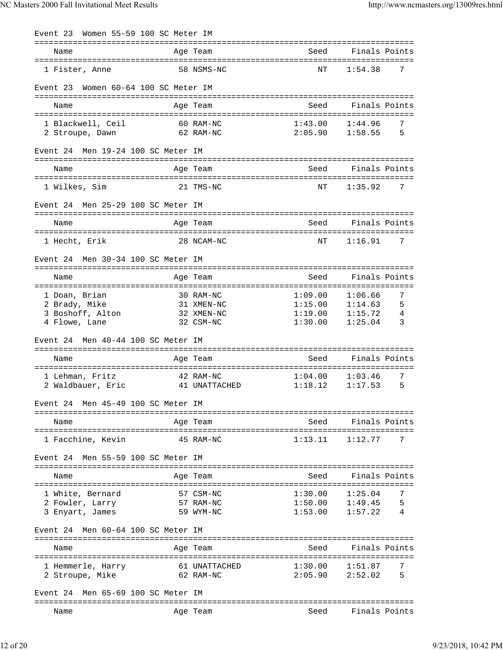| Women 55-59 100 SC Meter IM<br>Event 23 |                                     |                                           |                              |
|-----------------------------------------|-------------------------------------|-------------------------------------------|------------------------------|
| Name                                    | Age Team                            | Seed                                      | Finals Points                |
| 1 Fister, Anne                          | 58 NSMS-NC                          | NΤ                                        | 1:54.38<br>7                 |
| Women 60-64 100 SC Meter IM<br>Event 23 |                                     |                                           |                              |
| Name                                    | Age Team                            | Seed                                      | Finals Points                |
|                                         |                                     |                                           |                              |
| 1 Blackwell, Ceil                       | 60 RAM-NC<br>62 RAM-NC              | 1:43.00<br>2:05.90                        | 7<br>1:44.96<br>5<br>1:58.55 |
| 2 Stroupe, Dawn                         |                                     |                                           |                              |
| Men 19-24 100 SC Meter IM<br>Event 24   |                                     |                                           |                              |
| Name                                    | Age Team                            | Seed                                      | Finals Points                |
| 1 Wilkes, Sim                           | 21 TMS-NC                           | NΤ                                        | 1:35.92<br>7                 |
| Men 25-29 100 SC Meter IM<br>Event 24   |                                     |                                           |                              |
| Name                                    | Age Team                            | Seed                                      | Finals Points                |
| 1 Hecht, Erik                           | 28 NCAM-NC                          | NΤ                                        | 1:16.91<br>7                 |
| Men 30-34 100 SC Meter IM<br>Event 24   |                                     |                                           |                              |
| Name                                    | Age Team                            | Seed                                      | Finals Points                |
|                                         |                                     |                                           |                              |
| 1 Doan, Brian                           | 30 RAM-NC                           | 1:09.00                                   | 7<br>1:06.66                 |
| 2 Brady, Mike                           | 31 XMEN-NC                          | 1:15.00                                   | 1:14.63<br>5                 |
| 3 Boshoff, Alton                        | 32 XMEN-NC                          | 1:19.00                                   | 1:15.72<br>4                 |
| 4 Flowe, Lane                           | 32 CSM-NC                           | 1:30.00                                   | 3<br>1:25.04                 |
| Men 40-44 100 SC Meter IM<br>Event 24   |                                     |                                           |                              |
| Name                                    | Age Team                            | Seed                                      | Finals Points                |
| 1 Lehman, Fritz                         | 42 RAM-NC                           | 1:04.00                                   | 7<br>1:03.46                 |
| 2 Waldbauer, Eric                       | 41 UNATTACHED                       | 1:18.12                                   | 1:17.53<br>5                 |
| Men 45-49 100 SC Meter IM<br>Event 24   |                                     |                                           |                              |
|                                         |                                     |                                           |                              |
| Name                                    | Age Team                            | Seed                                      | Finals Points                |
| 1 Facchine, Kevin                       | 45 RAM-NC                           | 1:13.11                                   | 1:12.77<br>7                 |
| Men 55-59 100 SC Meter IM<br>Event 24   |                                     |                                           |                              |
| Name<br>-----------------------         | Age Team<br>:====================== | Seed<br>================================= | Finals Points                |
| 1 White, Bernard                        | 57 CSM-NC                           | 1:30.00                                   | 1:25.04<br>7                 |
| 2 Fowler, Larry                         | 57 RAM-NC                           | 1:50.00                                   | 5<br>1:49.45                 |
| 3 Enyart, James                         | 59 WYM-NC                           | 1:53.00                                   | 1:57.22<br>4                 |
| Men 60-64 100 SC Meter IM<br>Event 24   |                                     |                                           |                              |
| Name                                    | Age Team                            | Seed                                      | Finals Points                |
|                                         |                                     |                                           |                              |
| 1 Hemmerle, Harry                       | 61 UNATTACHED                       | 1:30.00                                   | 7<br>1:51.87                 |
| 2 Stroupe, Mike                         | 62 RAM-NC                           | 2:05.90                                   | 2:52.02<br>5                 |
| Event 24 Men 65-69 100 SC Meter IM      |                                     |                                           |                              |
|                                         |                                     |                                           | Finals Points                |
| Name                                    | Age Team                            | Seed                                      |                              |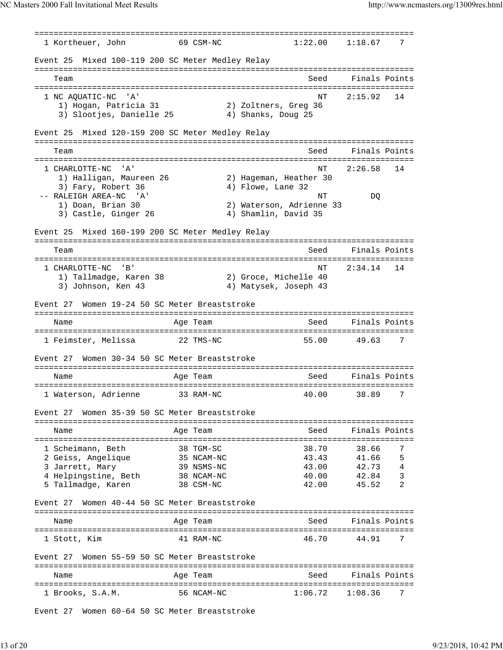=============================================================================== 1 Kortheuer, John 69 CSM-NC Event 25 Mixed 100-119 200 SC Meter Medley Relay =============================================================================== Team Seed Finals Points =============================================================================== 1 NC AQUATIC-NC 'A' NT 2:15.92 14 1) Hogan, Patricia 31 2) Zoltners, Greg 36 3) Slootjes, Danielle 25 4) Shanks, Doug 25 Event 25 Mixed 120-159 200 SC Meter Medley Relay =============================================================================== Team Seed Finals Points =============================================================================== 1 CHARLOTTE-NC 'A' 1 CHARLOTTE-NC 'A' 14<br>1) Halligan, Maureen 26 2) Hageman, Heather 30 1) Halligan, Maureen 26 3) Fary, Robert 36 4) Flowe, Lane 32<br>RALEIGH AREA-NC 'A' -- RALEIGH AREA-NC 'A' NT DQ 1) Doan, Brian 30 3) Castle, Ginger 26 4) Shamlin, David 35 Event 25 Mixed 160-199 200 SC Meter Medley Relay =============================================================================== Team Seed Finals Points =============================================================================== 1 CHARLOTTE-NC 'B' NT 2:34.14 14 1) Tallmadge, Karen 38 2) Groce, Michelle 40 3) Johnson, Ken 43 4) Matysek, Joseph 43 Event 27 Women 19-24 50 SC Meter Breaststroke =============================================================================== Name Age Team Seed Finals Points Age Team Seed Finals Points =============================================================================== 1 Feimster, Melissa 22 TMS-NC 55.00 49.63 7 Event 27 Women 30-34 50 SC Meter Breaststroke =============================================================================== Name and Age Team Seed Finals Points =============================================================================== 1 Waterson, Adrienne 33 RAM-NC 40.00 38.89 7 Event 27 Women 35-39 50 SC Meter Breaststroke =============================================================================== Name and Age Team and Seed Finals Points =============================================================================== 1 Scheimann, Beth 38 TGM-SC 38.70 38.66 7 2 Geiss, Angelique 35 NCAM-NC 43.43 41.66 5 3 Jarrett, Mary 39 NSMS-NC 43.00 42.73 4 4 Helpingstine, Beth 38 NCAM-NC 40.00 42.84 3 5 Tallmadge, Karen 38 CSM-NC 42.00 45.52 2 Event 27 Women 40-44 50 SC Meter Breaststroke =============================================================================== Name and Age Team Seed Finals Points =============================================================================== 1 Stott, Kim 41 RAM-NC 46.70 44.91 7 Event 27 Women 55-59 50 SC Meter Breaststroke =============================================================================== Name and Age Team Seed Finals Points =============================================================================== 1 Brooks, S.A.M. 56 NCAM-NC 1:06.72 1:08.36 7

Event 27 Women 60-64 50 SC Meter Breaststroke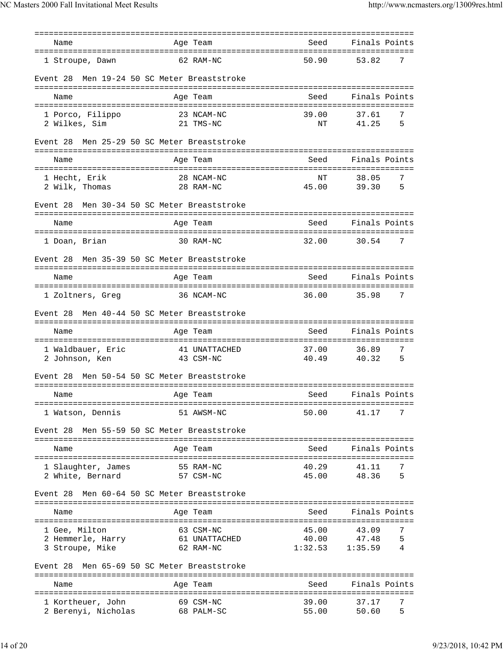| Name                                           |            | Age Team                   | Seed                    | Finals Points              |
|------------------------------------------------|------------|----------------------------|-------------------------|----------------------------|
| 1 Stroupe, Dawn                                |            | 62 RAM-NC                  | 50.90                   | 53.82<br>7                 |
| Men 19-24 50 SC Meter Breaststroke<br>Event 28 |            |                            |                         |                            |
| Name                                           |            | Age Team                   | Seed                    | Finals Points              |
| 1 Porco, Filippo                               |            | 23 NCAM-NC                 | 39.00                   | 37.61<br>7                 |
| 2 Wilkes, Sim                                  |            | 21 TMS-NC                  | ΝT                      | 41.25<br>5                 |
| Men 25-29 50 SC Meter Breaststroke<br>Event 28 |            |                            |                         |                            |
| Name                                           |            | Age Team                   | Seed                    | Finals Points              |
| 1 Hecht, Erik                                  |            | 28 NCAM-NC                 | NΤ                      | 38.05<br>7                 |
| 2 Wilk, Thomas                                 |            | 28 RAM-NC                  | 45.00                   | 5<br>39.30                 |
| Men 30-34 50 SC Meter Breaststroke<br>Event 28 |            |                            |                         |                            |
| Name                                           |            | Age Team                   | Seed                    | Finals Points              |
| 1 Doan, Brian                                  |            | 30 RAM-NC                  | 32.00                   | 30.54<br>7                 |
| Men 35-39 50 SC Meter Breaststroke<br>Event 28 |            |                            |                         |                            |
| Name                                           |            | Age Team                   | Seed                    | Finals Points              |
| 1 Zoltners, Greg                               |            | 36 NCAM-NC                 | 36.00                   | 35.98<br>7                 |
| Men 40-44 50 SC Meter Breaststroke<br>Event 28 |            |                            |                         |                            |
| Name                                           |            | Age Team                   | Seed                    | Finals Points              |
| 1 Waldbauer, Eric<br>2 Johnson, Ken            |            | 41 UNATTACHED<br>43 CSM-NC | 37.00<br>40.49          | 7<br>36.89<br>40.32<br>5   |
| Men 50-54 50 SC Meter Breaststroke<br>Event 28 |            |                            |                         |                            |
| Name                                           |            | Age Team                   | Seed                    | Finals Points              |
| 1 Watson, Dennis                               |            | 51 AWSM-NC                 | :=============<br>50.00 | 41.17<br>7                 |
| Men 55-59 50 SC Meter Breaststroke<br>Event 28 |            |                            |                         |                            |
| Name                                           |            | Age Team                   | Seed                    | Finals Points              |
| 1 Slaughter, James                             |            | 55 RAM-NC                  | 40.29                   | 41.11<br>7                 |
| 2 White, Bernard                               |            | 57 CSM-NC                  | 45.00                   | 48.36<br>5                 |
| Men 60-64 50 SC Meter Breaststroke<br>Event 28 |            |                            |                         |                            |
| Name                                           |            | Age Team                   | Seed                    | Finals Points              |
|                                                |            |                            |                         |                            |
| 1 Gee, Milton                                  |            | 63 CSM-NC                  | 45.00                   | 7<br>43.09                 |
| 2 Hemmerle, Harry<br>3 Stroupe, Mike           |            | 61 UNATTACHED<br>62 RAM-NC | 40.00<br>1:32.53        | 47.48<br>5<br>1:35.59<br>4 |
| Men 65-69 50 SC Meter Breaststroke<br>Event 28 |            |                            |                         |                            |
|                                                |            |                            |                         |                            |
| Name                                           |            | Age Team                   | Seed                    | Finals Points              |
| 1 Kortheuer, John                              |            | 69 CSM-NC                  | 39.00                   | 37.17<br>7                 |
| 2 Berenyi, Nicholas                            | 68 PALM-SC |                            | 55.00                   | 50.60<br>5                 |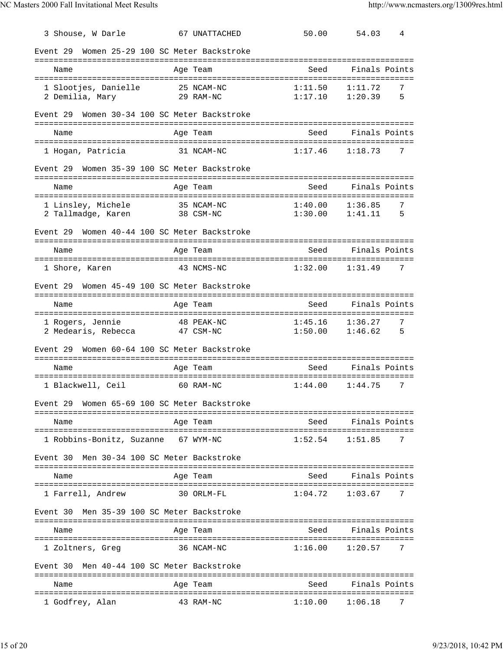| 3 Shouse, W Darle                             | 67 UNATTACHED                       | 50.00                   | 54.03              | 4      |
|-----------------------------------------------|-------------------------------------|-------------------------|--------------------|--------|
| Event 29                                      | Women 25-29 100 SC Meter Backstroke |                         |                    |        |
| Name                                          | Age Team                            | :============<br>Seed   | Finals Points      |        |
| --------------------------                    | ==========                          |                         |                    |        |
| 1 Slootjes, Danielle<br>2 Demilia, Mary       | 25 NCAM-NC<br>29 RAM-NC             | 1:11.50<br>1:17.10      | 1:11.72<br>1:20.39 | 7<br>5 |
|                                               |                                     |                         |                    |        |
| Event 29                                      | Women 30-34 100 SC Meter Backstroke |                         |                    |        |
| Name                                          | Age Team                            | Seed                    | Finals Points      |        |
| 1 Hogan, Patricia                             | 31 NCAM-NC                          | 1:17.46                 | 1:18.73            | 7      |
| Event 29                                      | Women 35-39 100 SC Meter Backstroke |                         |                    |        |
| Name                                          | =======<br>Age Team                 | .<br>Seed               | Finals Points      |        |
| 1 Linsley, Michele                            | 35 NCAM-NC                          | 1:40.00                 | 1:36.85            | 7      |
| 2 Tallmadge, Karen                            | 38 CSM-NC                           | 1:30.00                 | 1:41.11            | 5      |
| Event 29                                      | Women 40-44 100 SC Meter Backstroke |                         |                    |        |
| Name                                          | Age Team                            | Seed                    | Finals Points      |        |
|                                               |                                     |                         |                    |        |
| 1 Shore, Karen                                | 43 NCMS-NC                          | 1:32.00                 | 1:31.49            | 7      |
| Event 29                                      | Women 45-49 100 SC Meter Backstroke |                         |                    |        |
| ========================<br>Name              | ==============<br>Age Team          | ==============<br>Seed  | Finals Points      |        |
|                                               |                                     |                         |                    |        |
| 1 Rogers, Jennie<br>2 Medearis, Rebecca       | 48 PEAK-NC<br>47 CSM-NC             | 1:45.16<br>1:50.00      | 1:36.27<br>1:46.62 | 7<br>5 |
|                                               |                                     |                         |                    |        |
| Event 29                                      | Women 60-64 100 SC Meter Backstroke |                         |                    |        |
| Name                                          | Age Team                            | Seed                    | Finals Points      |        |
| 1 Blackwell, Ceil                             | 60 RAM-NC                           | 1:44.00                 | 1:44.75            | 7      |
| Event 29                                      | Women 65-69 100 SC Meter Backstroke |                         |                    |        |
| Name                                          | Age Team                            |                         | Seed Finals Points |        |
| 1 Robbins-Bonitz, Suzanne 67 WYM-NC           |                                     | 1:52.54                 | 1:51.85            | 7      |
| Men 30-34 100 SC Meter Backstroke<br>Event 30 |                                     |                         |                    |        |
| Name                                          | Age Team                            | Seed                    | Finals Points      |        |
|                                               |                                     |                         |                    | 7      |
| 1 Farrell, Andrew                             | 30 ORLM-FL                          | 1:04.72                 | 1:03.67            |        |
| Men 35-39 100 SC Meter Backstroke<br>Event 30 |                                     |                         |                    |        |
| Name                                          | Age Team                            | Seed                    | Finals Points      |        |
| 1 Zoltners, Greg                              | 36 NCAM-NC                          | 1:16.00                 | 1:20.57            | 7      |
| Men 40-44 100 SC Meter Backstroke<br>Event 30 |                                     |                         |                    |        |
| ====================<br>Name                  | ==============<br>Age Team          | ===============<br>Seed | Finals Points      |        |
| 1 Godfrey, Alan                               | 43 RAM-NC                           | 1:10.00                 | 1:06.18            | 7      |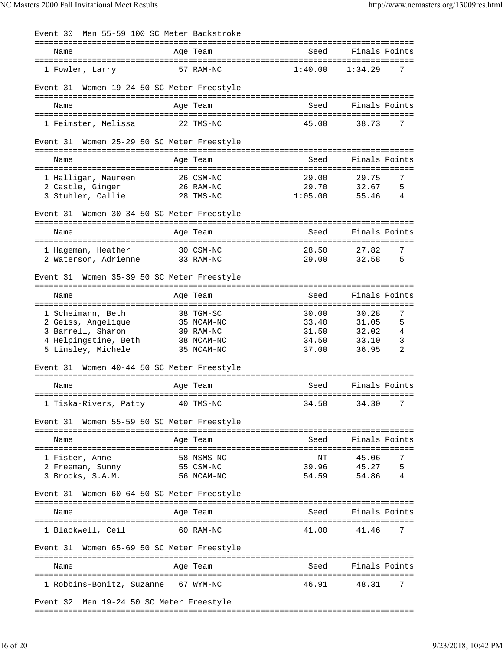| Event 30                                   | Men 55-59 100 SC Meter Backstroke |         |                         |
|--------------------------------------------|-----------------------------------|---------|-------------------------|
| Name                                       | Age Team                          | Seed    | Finals Points           |
| 1 Fowler, Larry                            | 57 RAM-NC                         | 1:40.00 | 1:34.29<br>7            |
| Event 31                                   | Women 19-24 50 SC Meter Freestyle |         |                         |
| Name                                       | Age Team                          | Seed    | Finals Points           |
| 1 Feimster, Melissa                        | 22 TMS-NC                         | 45.00   | 38.73<br>7              |
| Event 31                                   | Women 25-29 50 SC Meter Freestyle |         |                         |
| Name                                       | Age Team                          | Seed    | Finals Points           |
| 1 Halligan, Maureen                        | 26 CSM-NC                         | 29.00   | 7<br>29.75              |
| 2 Castle, Ginger                           | 26 RAM-NC                         | 29.70   | 32.67<br>5              |
| 3 Stuhler, Callie                          | 28 TMS-NC                         | 1:05.00 | 55.46<br>4              |
| Event 31                                   | Women 30-34 50 SC Meter Freestyle |         |                         |
| Name                                       | Age Team                          | Seed    | Finals Points           |
|                                            |                                   |         |                         |
| 1 Hageman, Heather                         | 30 CSM-NC                         | 28.50   | 27.82<br>7              |
| 2 Waterson, Adrienne                       | 33 RAM-NC                         | 29.00   | 32.58<br>5              |
| Event 31                                   | Women 35-39 50 SC Meter Freestyle |         |                         |
| Name                                       | Age Team                          | Seed    | Finals Points           |
|                                            |                                   |         |                         |
| 1 Scheimann, Beth                          | 38 TGM-SC                         | 30.00   | 7<br>30.28              |
| 2 Geiss, Angelique                         | 35 NCAM-NC                        | 33.40   | 5<br>31.05              |
| 3 Barrell, Sharon                          | 39 RAM-NC                         | 31.50   | $\overline{4}$<br>32.02 |
| 4 Helpingstine, Beth                       | 38 NCAM-NC                        | 34.50   | 33.10<br>3<br>2         |
| 5 Linsley, Michele                         | 35 NCAM-NC                        | 37.00   | 36.95                   |
| Event 31 Women 40-44 50 SC Meter Freestyle |                                   |         |                         |
| Name                                       | Age Team                          | Seed    | Finals Points           |
| 1 Tiska-Rivers, Patty                      | 40 TMS-NC                         | 34.50   | 7<br>34.30              |
| Event 31                                   | Women 55-59 50 SC Meter Freestyle |         |                         |
| Name                                       | Age Team                          | Seed    | Finals Points           |
| 1 Fister, Anne                             | 58 NSMS-NC                        | ΝT      | 45.06<br>7              |
| 2 Freeman, Sunny                           | 55 CSM-NC                         | 39.96   | 45.27<br>5              |
| 3 Brooks, S.A.M.                           | 56 NCAM-NC                        | 54.59   | 54.86<br>4              |
| Event 31                                   | Women 60-64 50 SC Meter Freestyle |         |                         |
| Name                                       | Age Team                          | Seed    | Finals Points           |
| 1 Blackwell, Ceil                          | 60 RAM-NC                         | 41.00   | 7<br>41.46              |
| Event 31                                   | Women 65-69 50 SC Meter Freestyle |         |                         |
| Name                                       | Age Team                          | Seed    | Finals Points           |
|                                            |                                   |         |                         |
| 1 Robbins-Bonitz, Suzanne 67 WYM-NC        |                                   | 46.91   | 7<br>48.31              |
| Event 32 Men 19-24 50 SC Meter Freestyle   |                                   |         |                         |

===============================================================================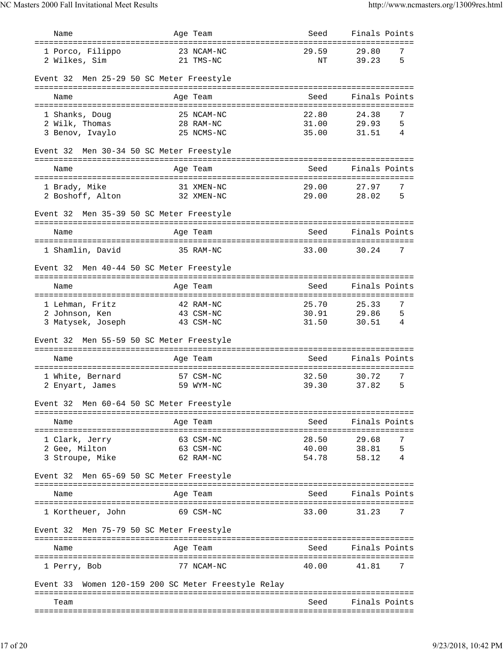| Name                                                   |                              | Age Team                | Seed                                  | Finals Points                     |        |
|--------------------------------------------------------|------------------------------|-------------------------|---------------------------------------|-----------------------------------|--------|
| 1 Porco, Filippo<br>2 Wilkes, Sim                      |                              | 23 NCAM-NC<br>21 TMS-NC | 29.59<br>ΝT                           | 29.80<br>39.23                    | 7<br>5 |
| Event 32 Men 25-29 50 SC Meter Freestyle               |                              |                         |                                       |                                   |        |
| Name                                                   |                              | Age Team                | Seed                                  | Finals Points                     |        |
|                                                        |                              |                         |                                       |                                   |        |
| 1 Shanks, Doug                                         |                              | 25 NCAM-NC              | 22.80                                 | 24.38                             | 7      |
| 2 Wilk, Thomas<br>3 Benov, Ivaylo                      |                              | 28 RAM-NC<br>25 NCMS-NC | 31.00<br>35.00                        | 29.93<br>31.51                    | 5<br>4 |
|                                                        |                              |                         |                                       |                                   |        |
| Men 30-34 50 SC Meter Freestyle<br>Event 32            |                              |                         |                                       |                                   |        |
| Name                                                   |                              | Age Team                | Seed                                  | Finals Points                     |        |
| =====================                                  | ===========                  |                         |                                       |                                   |        |
| 1 Brady, Mike                                          |                              | 31 XMEN-NC              | 29.00                                 | 27.97                             | 7      |
| 2 Boshoff, Alton                                       |                              | 32 XMEN-NC              | 29.00                                 | 28.02                             | 5      |
| Men 35-39 50 SC Meter Freestyle<br>Event 32            |                              |                         |                                       |                                   |        |
| Name                                                   |                              | Age Team                | Seed                                  | Finals Points                     |        |
| 1 Shamlin, David                                       |                              | 35 RAM-NC               | 33.00                                 | 30.24                             | 7      |
|                                                        |                              |                         |                                       |                                   |        |
| Men 40-44 50 SC Meter Freestyle<br>Event 32            |                              |                         |                                       |                                   |        |
| Name<br>===================                            | =============                | Age Team                | Seed<br>:============================ | Finals Points                     |        |
| 1 Lehman, Fritz                                        |                              | 42 RAM-NC               | 25.70                                 | 25.33                             | 7      |
| 2 Johnson, Ken                                         |                              | 43 CSM-NC               | 30.91                                 | 29.86                             | 5      |
| 3 Matysek, Joseph                                      |                              | 43 CSM-NC               | 31.50                                 | 30.51                             | 4      |
| Men 55-59 50 SC Meter Freestyle<br>Event 32            |                              |                         |                                       |                                   |        |
|                                                        |                              |                         |                                       | Finals Points                     |        |
| Name                                                   |                              | Age Team                | Seed                                  |                                   |        |
| 1 White, Bernard                                       |                              | 57 CSM-NC               | 32.50                                 | 30.72                             | 7      |
| 2 Enyart, James                                        |                              | 59 WYM-NC               | 39.30                                 | 37.82                             | 5      |
| Event 32 Men 60-64 50 SC Meter Freestyle               |                              |                         |                                       |                                   |        |
|                                                        |                              |                         |                                       |                                   |        |
| Name<br>======================================         |                              | Age Team                | Seed<br>========================      | Finals Points<br>================ |        |
| 1 Clark, Jerry                                         |                              | 63 CSM-NC               | 28.50                                 | 29.68                             | 7      |
| 2 Gee, Milton                                          |                              | 63 CSM-NC               | 40.00                                 | 38.81                             | 5      |
| 3 Stroupe, Mike                                        |                              | 62 RAM-NC               | 54.78                                 | 58.12                             | 4      |
| Men 65-69 50 SC Meter Freestyle<br>Event 32            |                              |                         |                                       |                                   |        |
| Name                                                   |                              | Age Team                | Seed                                  | Finals Points                     |        |
|                                                        |                              |                         |                                       |                                   |        |
| 1 Kortheuer, John                                      |                              | 69 CSM-NC               | 33.00                                 | 31.23                             | 7      |
| Men 75-79 50 SC Meter Freestyle<br>Event 32            | ============================ |                         | ===================                   |                                   |        |
| Name                                                   |                              | Age Team                | Seed                                  | Finals Points                     |        |
| 1 Perry, Bob                                           |                              | 77 NCAM-NC              | 40.00                                 | 41.81                             | 7      |
|                                                        |                              |                         |                                       |                                   |        |
| Women 120-159 200 SC Meter Freestyle Relay<br>Event 33 |                              |                         |                                       |                                   |        |
| Team                                                   |                              |                         | Seed                                  | Finals Points                     |        |
|                                                        |                              |                         |                                       |                                   |        |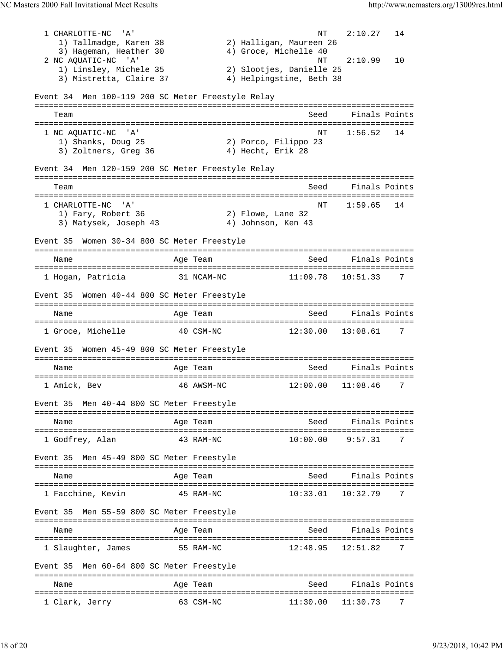|                                                      |            | ΝT                       | 2:10.27               | 14 |
|------------------------------------------------------|------------|--------------------------|-----------------------|----|
| 1) Tallmadge, Karen 38                               |            | 2) Halligan, Maureen 26  |                       |    |
| 3) Hageman, Heather 30                               |            | 4) Groce, Michelle 40    |                       |    |
| 2 NC AQUATIC-NC 'A'                                  |            | NT                       | 2:10.99               | 10 |
| 1) Linsley, Michele 35                               |            | 2) Slootjes, Danielle 25 |                       |    |
| 3) Mistretta, Claire 37                              |            | 4) Helpingstine, Beth 38 |                       |    |
|                                                      |            |                          |                       |    |
| Men 100-119 200 SC Meter Freestyle Relay<br>Event 34 |            |                          |                       |    |
|                                                      |            |                          |                       |    |
| Team                                                 |            | Seed                     | Finals Points         |    |
|                                                      |            |                          |                       |    |
| 1 NC AQUATIC-NC<br>$^{\prime}$ A $^{\prime}$         |            | NT                       | 1:56.52               | 14 |
| 1) Shanks, Doug 25                                   |            | 2) Porco, Filippo 23     |                       |    |
| 3) Zoltners, Greg 36                                 |            | 4) Hecht, Erik 28        |                       |    |
|                                                      |            |                          |                       |    |
| Event 34 Men 120-159 200 SC Meter Freestyle Relay    |            |                          |                       |    |
| Team                                                 |            | Seed                     | Finals Points         |    |
|                                                      |            |                          |                       |    |
| 1 CHARLOTTE-NC<br>. A'                               |            | NΤ                       | 1:59.65               | 14 |
| 1) Fary, Robert 36                                   |            | 2) Flowe, Lane 32        |                       |    |
| 3) Matysek, Joseph 43                                |            | 4) Johnson, Ken 43       |                       |    |
|                                                      |            |                          |                       |    |
| Women 30-34 800 SC Meter Freestyle<br>Event 35       |            |                          |                       |    |
|                                                      |            |                          |                       |    |
| Name                                                 | Age Team   | Seed                     | Finals Points         |    |
|                                                      |            |                          |                       |    |
| 1 Hogan, Patricia                                    | 31 NCAM-NC | 11:09.78                 | 10:51.33              | 7  |
|                                                      |            |                          |                       |    |
| Women 40-44 800 SC Meter Freestyle<br>Event 35       |            |                          |                       |    |
|                                                      |            |                          |                       |    |
| Name                                                 | Age Team   | Seed                     | Finals Points         |    |
|                                                      |            |                          |                       |    |
| 1 Groce, Michelle                                    | 40 CSM-NC  |                          | $12:30.00$ $13:08.61$ | 7  |
|                                                      |            |                          |                       |    |
| Women 45-49 800 SC Meter Freestyle<br>Event 35       |            |                          |                       |    |
|                                                      |            |                          |                       |    |
|                                                      |            |                          |                       |    |
| Name                                                 | Age Team   | Seed                     | Finals Points         |    |
|                                                      |            |                          |                       |    |
| 1 Amick, Bev                                         | 46 AWSM-NC | 12:00.00                 | 11:08.46              | 7  |
|                                                      |            |                          |                       |    |
| Event 35 Men 40-44 800 SC Meter Freestyle            |            |                          |                       |    |
|                                                      |            |                          |                       |    |
| Name                                                 | Age Team   | Seed                     | Finals Points         |    |
|                                                      |            |                          |                       |    |
| 1 Godfrey, Alan                                      | 43 RAM-NC  | 10:00.00                 | 9:57.31               | 7  |
|                                                      |            |                          |                       |    |
| Men 45-49 800 SC Meter Freestyle<br>Event 35         |            |                          |                       |    |
|                                                      |            |                          |                       |    |
| Name                                                 | Age Team   | Seed                     | Finals Points         |    |
|                                                      |            |                          |                       |    |
| 1 Facchine, Kevin                                    | 45 RAM-NC  | 10:33.01                 | 10:32.79              | 7  |
|                                                      |            |                          |                       |    |
| Men 55-59 800 SC Meter Freestyle<br>Event 35         |            |                          |                       |    |
|                                                      |            |                          |                       |    |
| Name                                                 | Age Team   | Seed                     | Finals Points         |    |
|                                                      |            |                          |                       |    |
| 1 Slaughter, James                                   | 55 RAM-NC  | 12:48.95                 | 12:51.82              | 7  |
|                                                      |            |                          |                       |    |
| Men 60-64 800 SC Meter Freestyle<br>Event 35         |            |                          |                       |    |
| Name                                                 |            | Seed                     | Finals Points         |    |
|                                                      | Age Team   |                          |                       |    |
| 1 Clark, Jerry                                       | 63 CSM-NC  | 11:30.00                 | 11:30.73              | 7  |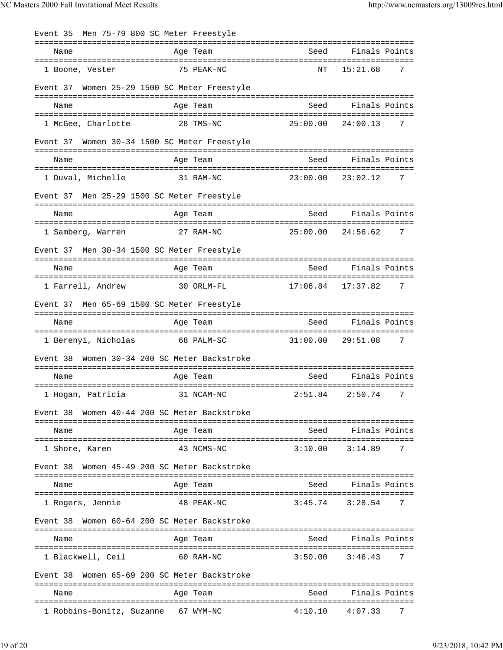| Event 35 Men 75-79 800 SC Meter Freestyle         |                                     |      |                                         |
|---------------------------------------------------|-------------------------------------|------|-----------------------------------------|
| Name                                              | Age Team                            |      | Seed Finals Points                      |
| 1 Boone, Vester                                   | 75 PEAK-NC                          | NT   | 15:21.68<br>$\overline{7}$              |
| Event 37 Women 25-29 1500 SC Meter Freestyle      |                                     |      |                                         |
| Name                                              | Age Team                            |      | Seed Finals Points                      |
| 1 McGee, Charlotte 28 TMS-NC                      |                                     |      | $25:00.00$ $24:00.13$ 7                 |
| Event 37 Women 30-34 1500 SC Meter Freestyle      |                                     |      |                                         |
| Name                                              | Age Team                            |      | Seed Finals Points                      |
| 1 Duval, Michelle                                 | 31 RAM-NC                           |      | $23:00.00$ $23:02.12$ 7                 |
| Event 37 Men 25-29 1500 SC Meter Freestyle        |                                     |      |                                         |
| Name                                              | Age Team                            |      | Seed Finals Points                      |
| 1 Samberg, Warren 27 RAM-NC                       |                                     |      | 25:00.00 24:56.62 7                     |
| Event 37 Men 30-34 1500 SC Meter Freestyle        |                                     |      |                                         |
| Name                                              | Age Team                            |      | Seed Finals Points                      |
| 1 Farrell, Andrew                                 | 30 ORLM-FL                          |      | $17:06.84$ $17:37.82$<br>$\overline{7}$ |
| Event 37 Men 65-69 1500 SC Meter Freestyle        |                                     |      |                                         |
| Name                                              | Age Team                            |      | Seed Finals Points                      |
| 1 Berenyi, Nicholas 68 PALM-SC                    |                                     |      | $31:00.00$ 29:51.08 7                   |
| Event 38                                          | Women 30-34 200 SC Meter Backstroke |      |                                         |
| Name                                              | Age Team                            | Seed | Finals Points                           |
| 1 Hogan, Patricia (31 NCAM-NC) (2:51.84 2:50.74 7 |                                     |      |                                         |
| Event 38                                          | Women 40-44 200 SC Meter Backstroke |      |                                         |
| Name                                              | Age Team                            |      | Seed Finals Points                      |
|                                                   |                                     |      |                                         |
| 1 Shore, Karen                                    | 43 NCMS-NC                          |      | $3:10.00$ $3:14.89$<br>7                |
| Event 38                                          | Women 45-49 200 SC Meter Backstroke |      |                                         |
| Name                                              | Age Team                            | Seed | Finals Points                           |
| 1 Rogers, Jennie                                  | 48 PEAK-NC                          |      | $3:45.74$ $3:28.54$<br>7                |
| Event 38                                          | Women 60-64 200 SC Meter Backstroke |      |                                         |
| Name                                              | Age Team                            |      | Seed Finals Points                      |
| 1 Blackwell, Ceil                                 | 60 RAM-NC                           |      | $3:50.00$ $3:46.43$<br>7                |
| Event 38                                          | Women 65-69 200 SC Meter Backstroke |      |                                         |
| Name                                              | Age Team                            | Seed | Finals Points                           |
| 1 Robbins-Bonitz, Suzanne 67 WYM-NC               |                                     |      | $4:10.10$ $4:07.33$<br>7                |